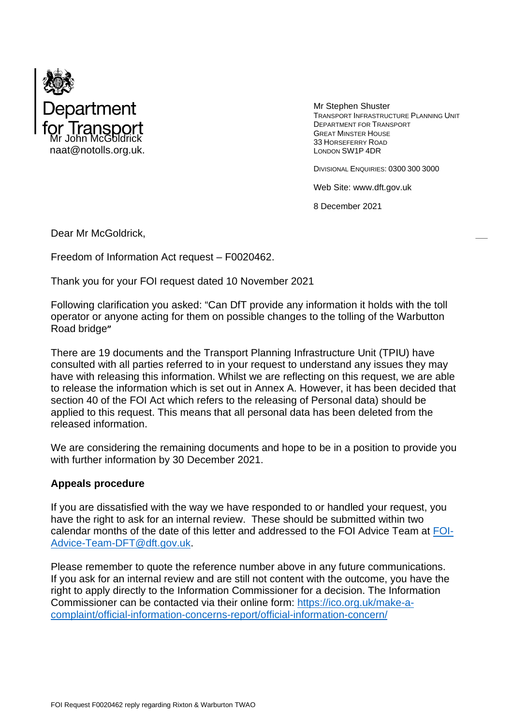

Mr Stephen Shuster TRANSPORT INFRASTRUCTURE PLANNING UNIT DEPARTMENT FOR TRANSPORT GREAT MINSTER HOUSE 33 HORSEFERRY ROAD LONDON SW1P 4DR

DIVISIONAL ENQUIRIES: 0300 300 3000

Web Site: www.dft.gov.uk

8 December 2021

Dear Mr McGoldrick,

Freedom of Information Act request – F0020462.

Thank you for your FOI request dated 10 November 2021

Following clarification you asked: "Can DfT provide any information it holds with the toll operator or anyone acting for them on possible changes to the tolling of the Warbutton Road bridge**"**

There are 19 documents and the Transport Planning Infrastructure Unit (TPIU) have consulted with all parties referred to in your request to understand any issues they may have with releasing this information. Whilst we are reflecting on this request, we are able to release the information which is set out in Annex A. However, it has been decided that section 40 of the FOI Act which refers to the releasing of Personal data) should be applied to this request. This means that all personal data has been deleted from the released information.

We are considering the remaining documents and hope to be in a position to provide you with further information by 30 December 2021.

## **Appeals procedure**

If you are dissatisfied with the way we have responded to or handled your request, you have the right to ask for an internal review. These should be submitted within two calendar months of the date of this letter and addressed to the FOI Advice Team at [FOI-](mailto:FOI-Advice-Team-DFT@dft.gov.uk)[Advice-Team-DFT@dft.gov.uk.](mailto:FOI-Advice-Team-DFT@dft.gov.uk)

Please remember to quote the reference number above in any future communications. If you ask for an internal review and are still not content with the outcome, you have the right to apply directly to the Information Commissioner for a decision. The Information Commissioner can be contacted via their online form: [https://ico.org.uk/make-a](https://ico.org.uk/make-a-complaint/official-information-concerns-report/official-information-concern/)[complaint/official-information-concerns-report/official-information-concern/](https://ico.org.uk/make-a-complaint/official-information-concerns-report/official-information-concern/)